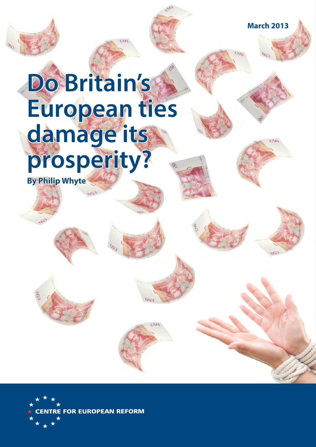**March 2013**

# **Do Britain's European ties damage its prosperity?**

**By Philip Whyte** 

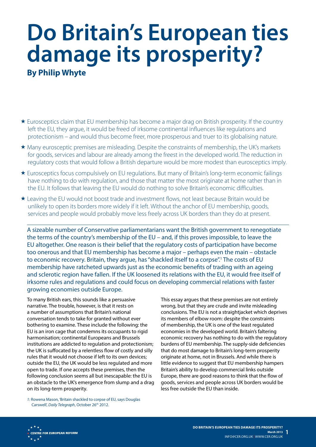# **Do Britain's European ties damage its prosperity?**

**By Philip Whyte** 

- Eurosceptics claim that EU membership has become a major drag on British prosperity. If the country left the EU, they argue, it would be freed of irksome continental influences like regulations and protectionism – and would thus become freer, more prosperous and truer to its globalising nature.
- Many eurosceptic premises are misleading. Despite the constraints of membership, the UK's markets for goods, services and labour are already among the freest in the developed world. The reduction in regulatory costs that would follow a British departure would be more modest than eurosceptics imply.
- Eurosceptics focus compulsively on EU regulations. But many of Britain's long-term economic failings have nothing to do with regulation, and those that matter the most originate at home rather than in the EU. It follows that leaving the EU would do nothing to solve Britain's economic difficulties.
- Leaving the EU would not boost trade and investment flows, not least because Britain would be unlikely to open its borders more widely if it left. Without the anchor of EU membership, goods, services and people would probably move less freely across UK borders than they do at present.

A sizeable number of Conservative parliamentarians want the British government to renegotiate the terms of the country's membership of the EU – and, if this proves impossible, to leave the EU altogether. One reason is their belief that the regulatory costs of participation have become too onerous and that EU membership has become a major – perhaps even the main – obstacle to economic recovery. Britain, they argue, has "shackled itself to a corpse".<sup>1</sup> The costs of EU membership have ratcheted upwards just as the economic benefits of trading with an ageing and sclerotic region have fallen. If the UK loosened its relations with the EU, it would free itself of irksome rules and regulations and could focus on developing commercial relations with faster growing economies outside Europe.

To many British ears, this sounds like a persuasive narrative. The trouble, however, is that it rests on a number of assumptions that Britain's national conversation tends to take for granted without ever bothering to examine. These include the following: the EU is an iron cage that condemns its occupants to rigid harmonisation; continental Europeans and Brussels institutions are addicted to regulation and protectionism; the UK is suffocated by a relentless flow of costly and silly rules that it would not choose if left to its own devices; outside the EU, the UK would be less regulated and more open to trade. If one accepts these premises, then the following conclusion seems all but inescapable: the EU is an obstacle to the UK's emergence from slump and a drag on its long-term prosperity.

This essay argues that these premises are not entirely wrong, but that they are crude and invite misleading conclusions. The EU is not a straightjacket which deprives its members of elbow room: despite the constraints of membership, the UK is one of the least regulated economies in the developed world. Britain's faltering economic recovery has nothing to do with the regulatory burdens of EU membership. The supply-side deficiencies that do most damage to Britain's long-term prosperity originate at home, not in Brussels. And while there is little evidence to suggest that EU membership hampers Britain's ability to develop commercial links outside Europe, there are good reasons to think that the flow of goods, services and people across UK borders would be less free outside the EU than inside.

*1:* Rowena Mason, 'Britain shackled to corpse of EU, says Douglas Carswell', *Daily Telegraph*, October 26<sup>th</sup> 2012.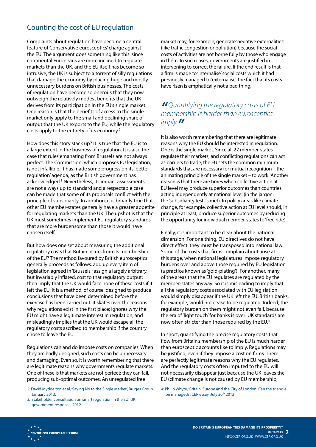# Counting the cost of EU regulation

Complaints about regulation have become a central feature of Conservative eurosceptics' charge against the EU. The argument goes something like this: since continental Europeans are more inclined to regulate markets than the UK, and the EU itself has become so intrusive, the UK is subject to a torrent of silly regulations that damage the economy by placing huge and mostly unnecessary burdens on British businesses. The costs of regulation have become so onerous that they now outweigh the relatively modest benefits that the UK derives from its participation in the EU's single market. One reason is that the benefits of access to the single market only apply to the small and declining share of output that the UK exports to the EU, while the regulatory costs apply to the entirety of its economy.2

How does this story stack up? It is true that the EU is to a large extent in the business of regulation. It is also the case that rules emanating from Brussels are not always perfect. The Commission, which proposes EU legislation, is not infallible. It has made some progress on its 'better regulation' agenda, as the British government has acknowledged.3 Nevertheless, its impact assessments are not always up to standard and a respectable case can be made that some of its proposals conflict with the principle of subsidiarity. In addition, it is broadly true that other EU member-states generally have a greater appetite for regulating markets than the UK. The upshot is that the UK must sometimes implement EU regulatory standards that are more burdensome than those it would have chosen itself.

But how does one set about measuring the additional regulatory costs that Britain incurs from its membership of the EU? The method favoured by British eurosceptics generally proceeds as follows: add up every item of legislation agreed in 'Brussels'; assign a largely arbitrary, but invariably inflated, cost to that regulatory output; then imply that the UK would face none of these costs if it left the EU. It is a method, of course, designed to produce conclusions that have been determined before the exercise has been carried out. It skates over the reasons why regulations exist in the first place; ignores why the EU might have a legitimate interest in regulation; and misleadingly implies that the UK would escape all the regulatory costs ascribed to membership if the country chose to leave the EU.

Regulations can and do impose costs on companies. When they are badly designed, such costs can be unnecessary and damaging. Even so, it is worth remembering that there are legitimate reasons why governments regulate markets. One of these is that markets are not perfect: they can fail, producing sub-optimal outcomes. An unregulated free

*2:* David Myddelton et al, 'Saying No to the Single Market', Bruges Group, January 2013.

*3:* 'Stakeholder consultation on smart regulation in the EU', UK government response, 2012.

market may, for example, generate 'negative externalities' (like traffic congestion or pollution) because the social costs of activities are not borne fully by those who engage in them. In such cases, governments are justified in intervening to correct the failure. If the end result is that a firm is made to 'internalise' social costs which it had previously managed to 'externalise', the fact that its costs have risen is emphatically not a bad thing.

## *"Quantifying the regulatory costs of EU membership is harder than eurosceptics imply."*

It is also worth remembering that there are legitimate reasons why the EU should be interested in regulation. One is the single market. Since all 27 member-states regulate their markets, and conflicting regulations can act as barriers to trade, the EU sets the common minimum standards that are necessary for mutual recognition – the animating principle of the single market – to work. Another reason is that there are times when collective action at EU level may produce superior outcomes than countries acting independently at national level (in the jargon, the 'subsidiarity test' is met). In policy areas like climate change, for example, collective action at EU level should, in principle at least, produce superior outcomes by reducing the opportunity for individual member-states to 'free ride'.

Finally, it is important to be clear about the national dimension. For one thing, EU directives do not have direct effect: they must be transposed into national law. Some of the costs that firms complain about arise at this stage, when national legislatures impose regulatory burdens over and above those required by EU legislation (a practice known as 'gold-plating'). For another, many of the areas that the EU regulates are regulated by the member-states anyway. So it is misleading to imply that all the regulatory costs associated with EU legislation would simply disappear if the UK left the EU. British banks, for example, would not cease to be regulated. Indeed, the regulatory burden on them might not even fall, because the era of 'light touch' for banks is over: UK standards are now often stricter than those required by the EU.<sup>4</sup>

In short, quantifying the precise regulatory costs that flow from Britain's membership of the EU is much harder than eurosceptic accounts like to imply. Regulations may be justified, even if they impose a cost on firms. There are perfectly legitimate reasons why the EU regulates. And the regulatory costs often imputed to the EU will not necessarily disappear just because the UK leaves the EU (climate change is not caused by EU membership,

*4:* Philip Whyte, 'Britain, Europe and the City of London: Can the triangle be managed?', CER essay, July 20<sup>th</sup> 2012.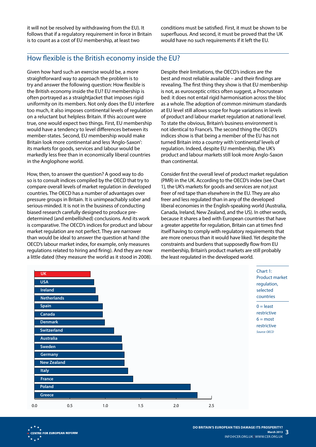it will not be resolved by withdrawing from the EU). It follows that if a regulatory requirement in force in Britain is to count as a cost of EU membership, at least two

conditions must be satisfied. First, it must be shown to be superfluous. And second, it must be proved that the UK would have no such requirements if it left the EU.

#### How flexible is the British economy inside the EU?

Given how hard such an exercise would be, a more straightforward way to approach the problem is to try and answer the following question: How flexible is the British economy inside the EU? EU membership is often portrayed as a straightjacket that imposes rigid uniformity on its members. Not only does the EU interfere too much, it also imposes continental levels of regulation on a reluctant but helpless Britain. If this account were true, one would expect two things. First, EU membership would have a tendency to level differences between its member-states. Second, EU membership would make Britain look more continental and less 'Anglo-Saxon': its markets for goods, services and labour would be markedly less free than in economically liberal countries in the Anglophone world.

How, then, to answer the question? A good way to do so is to consult indices compiled by the OECD that try to compare overall levels of market regulation in developed countries. The OECD has a number of advantages over pressure groups in Britain. It is unimpeachably sober and serious-minded. It is not in the business of conducting biased research carefully designed to produce predetermined (and embellished) conclusions. And its work is comparative. The OECD's indices for product and labour market regulation are not perfect. They are narrower than would be ideal to answer the question at hand (the OECD's labour market index, for example, only measures regulations related to hiring and firing). And they are now a little dated (they measure the world as it stood in 2008).

Despite their limitations, the OECD's indices are the best and most reliable available – and their findings are revealing. The first thing they show is that EU membership is not, as eurosceptic critics often suggest, a Procrustean bed: it does not entail rigid harmonisation across the bloc as a whole. The adoption of common minimum standards at EU level still allows scope for huge variations in levels of product and labour market regulation at national level. To state the obvious, Britain's business environment is not identical to France's. The second thing the OECD's indices show is that being a member of the EU has not turned Britain into a country with 'continental' levels of regulation. Indeed, despite EU membership, the UK's product and labour markets still look more Anglo-Saxon than continental.

Consider first the overall level of product market regulation (PMR) in the UK. According to the OECD's index (see Chart 1), the UK's markets for goods and services are not just freer of red tape than elsewhere in the EU. They are also freer and less regulated than in any of the developed liberal economies in the English-speaking world (Australia, Canada, Ireland, New Zealand, and the US). In other words, because it shares a bed with European countries that have a greater appetite for regulation, Britain can at times find itself having to comply with regulatory requirements that are more onerous than it would have liked. Yet despite the constraints and burdens that supposedly flow from EU membership, Britain's product markets are still probably the least regulated in the developed world.

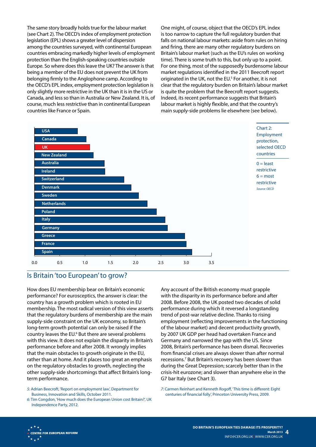The same story broadly holds true for the labour market (see Chart 2). The OECD's index of employment protection legislation (EPL) shows a greater level of dispersion among the countries surveyed, with continental European countries embracing markedly higher levels of employment protection than the English-speaking countries outside Europe. So where does this leave the UK? The answer is that being a member of the EU does not prevent the UK from belonging firmly to the Anglophone camp. According to the OECD's EPL index, employment protection legislation is only slightly more restrictive in the UK than it is in the US or Canada, and less so than in Australia or New Zealand. It is, of course, much less restrictive than in continental European countries like France or Spain.

One might, of course, object that the OECD's EPL index is too narrow to capture the full regulatory burden that falls on national labour markets: aside from rules on hiring and firing, there are many other regulatory burdens on Britain's labour market (such as the EU's rules on working time). There is some truth to this, but only up to a point. For one thing, most of the supposedly burdensome labour market regulations identified in the 2011 Beecroft report originated in the UK, not the EU.<sup>5</sup> For another, it is not clear that the regulatory burden on Britain's labour market is quite the problem that the Beecroft report suggests. Indeed, its recent performance suggests that Britain's labour market is highly flexible, and that the country's main supply-side problems lie elsewhere (see below).



#### Is Britain 'too European' to grow?

How does EU membership bear on Britain's economic performance? For eurosceptics, the answer is clear: the country has a growth problem which is rooted in EU membership. The most radical version of this view asserts that the regulatory burdens of membership are the main supply-side constraint on the UK economy, so Britain's long-term growth potential can only be raised if the country leaves the EU.<sup>6</sup> But there are several problems with this view. It does not explain the disparity in Britain's performance before and after 2008. It wrongly implies that the main obstacles to growth originate in the EU, rather than at home. And it places too great an emphasis on the regulatory obstacles to growth, neglecting the other supply-side shortcomings that affect Britain's longterm performance.

*5:* Adrian Beecroft, 'Report on employment law', Department for Business, Innovation and Skills, October 2011.

*6:* Tim Congdon, 'How much does the European Union cost Britain?', UK Independence Party, 2012.

Any account of the British economy must grapple with the disparity in its performance before and after 2008. Before 2008, the UK posted two decades of solid performance during which it reversed a longstanding trend of post-war relative decline. Thanks to rising employment (reflecting improvements in the functioning of the labour market) and decent productivity growth, by 2007 UK GDP per head had overtaken France and Germany and narrowed the gap with the US. Since 2008, Britain's performance has been dismal. Recoveries from financial crises are always slower than after normal recessions.<sup>7</sup> But Britain's recovery has been slower than during the Great Depression; scarcely better than in the crisis-hit eurozone; and slower than anywhere else in the G7 bar Italy (see Chart 3).

*7:* Carmen Reinhart and Kenneth Rogoff, 'This time is different: Eight centuries of financial folly', Princeton University Press, 2009.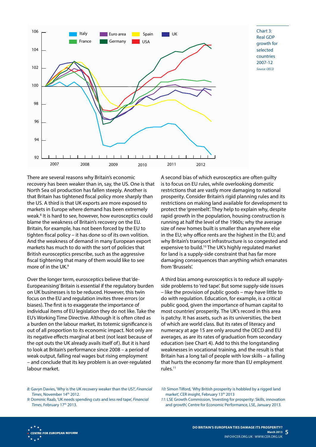

Chart 3: Real GDP growth for selected countries 2007-12 *Source: OECD*

There are several reasons why Britain's economic recovery has been weaker than in, say, the US. One is that North Sea oil production has fallen steeply. Another is that Britain has tightened fiscal policy more sharply than the US. A third is that UK exports are more exposed to markets in Europe where demand has been extremely weak.<sup>8</sup> It is hard to see, however, how eurosceptics could blame the weakness of Britain's recovery on the EU. Britain, for example, has not been forced by the EU to tighten fiscal policy – it has done so of its own volition. And the weakness of demand in many European export markets has much to do with the sort of policies that British eurosceptics prescribe, such as the aggressive fiscal tightening that many of them would like to see more of in the UK.<sup>9</sup>

Over the longer term, eurosceptics believe that 'de-Europeanising' Britain is essential if the regulatory burden on UK businesses is to be reduced. However, this twin focus on the EU and regulation invites three errors (or biases). The first is to exaggerate the importance of individual items of EU legislation they do not like. Take the EU's Working Time Directive. Although it is often cited as a burden on the labour market, its totemic significance is out of all proportion to its economic impact. Not only are its negative effects marginal at best (not least because of the opt outs the UK already avails itself of). But it is hard to look at Britain's performance since 2008 – a period of weak output, falling real wages but rising employment – and conclude that its key problem is an over-regulated labour market.

A second bias of which eurosceptics are often guilty is to focus on EU rules, while overlooking domestic restrictions that are vastly more damaging to national prosperity. Consider Britain's rigid planning rules and its restrictions on making land available for development to protect the 'greenbelt'. They help to explain why, despite rapid growth in the population, housing construction is running at half the level of the 1960s; why the average size of new homes built is smaller than anywhere else in the EU; why office rents are the highest in the EU; and why Britain's transport infrastructure is so congested and expensive to build.10 The UK's highly regulated market for land is a supply-side constraint that has far more damaging consequences than anything which emanates from 'Brussels'.

A third bias among eurosceptics is to reduce all supplyside problems to 'red tape'. But some supply-side issues – like the provision of public goods – may have little to do with regulation. Education, for example, is a critical public good, given the importance of human capital to most countries' prosperity. The UK's record in this area is patchy. It has assets, such as its universities, the best of which are world class. But its rates of literacy and numeracy at age 15 are only around the OECD and EU averages, as are its rates of graduation from secondary education (see Chart 4). Add to this the longstanding weaknesses in vocational training, and the result is that Britain has a long tail of people with low skills – a failing that hurts the economy far more than EU employment rules.11

- *8:* Gavyn Davies, 'Why is the UK recovery weaker than the US?', *Financial Times*, November 14th 2012.
- *9:* Dominic Raab, 'UK needs spending cuts and less red tape', *Financial*  **Times**, February 17<sup>th</sup> 2013.
- *10:* Simon Tilford, 'Why British prosperity is hobbled by a rigged land market', CER insight, February 13<sup>th</sup> 2013
- *11:* LSE Growth Commission, 'Investing for prosperity: Skills, innovation and growth', Centre for Economic Performance, LSE, January 2013.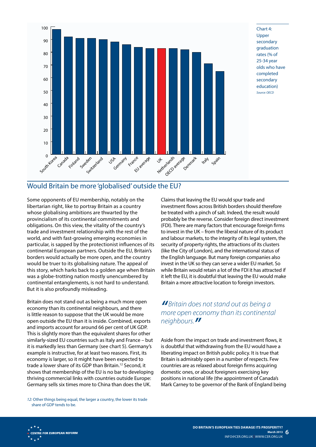

Chart 4: Upper secondary graduation rates (% of 25-34 year olds who have completed secondary education) *Source: OECD*

# Would Britain be more 'globalised' outside the EU?

Some opponents of EU membership, notably on the libertarian right, like to portray Britain as a country whose globalising ambitions are thwarted by the provincialism of its continental commitments and obligations. On this view, the vitality of the country's trade and investment relationship with the rest of the world, and with fast-growing emerging economies in particular, is sapped by the protectionist influences of its continental European partners. Outside the EU, Britain's borders would actually be more open, and the country would be truer to its globalising nature. The appeal of this story, which harks back to a golden age when Britain was a globe-trotting nation mostly unencumbered by continental entanglements, is not hard to understand. But it is also profoundly misleading.

Britain does not stand out as being a much more open economy than its continental neighbours, and there is little reason to suppose that the UK would be more open outside the EU than it is inside. Combined, exports and imports account for around 66 per cent of UK GDP. This is slightly more than the equivalent shares for other similarly-sized EU countries such as Italy and France – but it is markedly less than Germany (see chart 5). Germany's example is instructive, for at least two reasons. First, its economy is larger, so it might have been expected to trade a lower share of its GDP than Britain.12 Second, it shows that membership of the EU is no bar to developing thriving commercial links with countries outside Europe: Germany sells six times more to China than does the UK.

*12:* Other things being equal, the larger a country, the lower its trade share of GDP tends to be.

Claims that leaving the EU would spur trade and investment flows across British borders should therefore be treated with a pinch of salt. Indeed, the result would probably be the reverse. Consider foreign direct investment (FDI). There are many factors that encourage foreign firms to invest in the UK – from the liberal nature of its product and labour markets, to the integrity of its legal system, the security of property rights, the attractions of its clusters (like the City of London), and the international status of the English language. But many foreign companies also invest in the UK so they can serve a wider EU market. So while Britain would retain a lot of the FDI it has attracted if it left the EU, it is doubtful that leaving the EU would make Britain a more attractive location to foreign investors.

## *" Britain does not stand out as being a more open economy than its continental neighbours."*

Aside from the impact on trade and investment flows, it is doubtful that withdrawing from the EU would have a liberating impact on British public policy. It is true that Britain is admirably open in a number of respects. Few countries are as relaxed about foreign firms acquiring domestic ones, or about foreigners exercising key positions in national life (the appointment of Canada's Mark Carney to be governor of the Bank of England being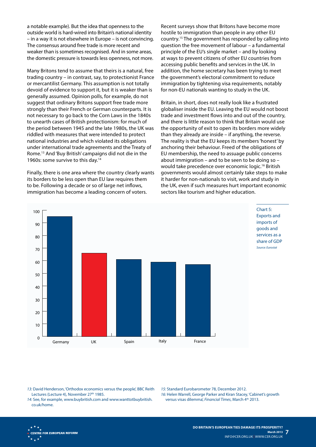a notable example). But the idea that openness to the outside world is hard-wired into Britain's national identity – in a way it is not elsewhere in Europe – is not convincing. The consensus around free trade is more recent and weaker than is sometimes recognised. And in some areas, the domestic pressure is towards less openness, not more.

Many Britons tend to assume that theirs is a natural, free trading country – in contrast, say, to protectionist France or mercantilist Germany. This assumption is not totally devoid of evidence to support it, but it is weaker than is generally assumed. Opinion polls, for example, do not suggest that ordinary Britons support free trade more strongly than their French or German counterparts. It is not necessary to go back to the Corn Laws in the 1840s to unearth cases of British protectionism: for much of the period between 1945 and the late 1980s, the UK was riddled with measures that were intended to protect national industries and which violated its obligations under international trade agreements and the Treaty of Rome. 13 And 'Buy British' campaigns did not die in the 1960s: some survive to this day.<sup>14</sup>

Finally, there is one area where the country clearly wants its borders to be less open than EU law requires them to be. Following a decade or so of large net inflows, immigration has become a leading concern of voters.

Recent surveys show that Britons have become more hostile to immigration than people in any other EU country.15 The government has responded by calling into question the free movement of labour – a fundamental principle of the EU's single market – and by looking at ways to prevent citizens of other EU countries from accessing public benefits and services in the UK. In addition, the home secretary has been trying to meet the government's electoral commitment to reduce immigration by tightening visa requirements, notably for non-EU nationals wanting to study in the UK.

Britain, in short, does not really look like a frustrated globaliser inside the EU. Leaving the EU would not boost trade and investment flows into and out of the country, and there is little reason to think that Britain would use the opportunity of exit to open its borders more widely than they already are inside – if anything, the reverse. The reality is that the EU keeps its members 'honest' by anchoring their behaviour. Freed of the obligations of EU membership, the need to assuage public concerns about immigration – and to be seen to be doing so – would take precedence over economic logic.16 British governments would almost certainly take steps to make it harder for non-nationals to visit, work and study in the UK, even if such measures hurt important economic sectors like tourism and higher education.



Chart 5: Exports and imports of goods and services as a share of GDP *Source: Eurostat*

*13:* David Henderson, 'Orthodox economics versus the people', BBC Reith Lectures (Lecture 4), November 27<sup>th</sup> 1985.

*14:* See, for example, www.buybritish.com and www.wanttotbuybritish. co.uk/home.

*15:* Standard Eurobarometer 78, December 2012.

*16:* Helen Warrell, George Parker and Kiran Stacey, 'Cabinet's growth versus visas dilemma', *Financial Times*, March 4th 2013.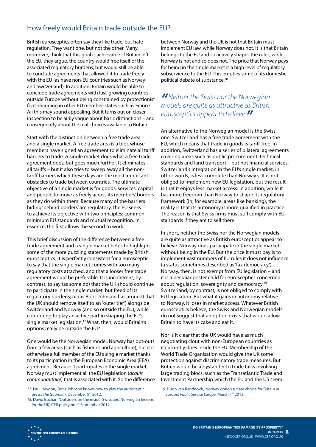## How freely would Britain trade outside the EU?

British eurosceptics often say they like trade, but hate regulation. They want one, but not the other. Many, moreover, think that this goal is achievable. If Britain left the EU, they argue, the country would free itself of the associated regulatory burdens, but would still be able to conclude agreements that allowed it to trade freely with the EU (as have non-EU countries such as Norway and Switzerland). In addition, Britain would be able to conclude trade agreements with fast-growing countries outside Europe without being constrained by protectionist foot-dragging in other EU member-states such as France. All this may sound appealing. But it turns out on closer inspection to be airily vague about basic distinctions – and consequently about the real choices available to Britain.

Start with the distinction between a free trade area and a single market. A free trade area is a bloc whose members have signed an agreement to eliminate all tariff barriers to trade. A single market does what a free trade agreement does, but goes much further. It eliminates all tariffs – but it also tries to sweep away all the nontariff barriers which these days are the most important obstacles to trade between countries. The ultimate objective of a single market is for goods, services, capital and people to move as freely across its members' borders as they do within them. Because many of the barriers hiding 'behind borders' are regulatory, the EU seeks to achieve its objective with two principles: common minimum EU standards and mutual recognition. In essence, the first allows the second to work.

This brief discussion of the difference between a free trade agreement and a single market helps to highlight some of the more puzzling statements made by British eurosceptics. It is perfectly consistent for a eurosceptic to say that the single market comes with too many regulatory costs attached, and that a looser free trade agreement would be preferable. It is incoherent, by contrast, to say (as some do) that the UK should continue to participate in the single market, but freed of its regulatory burdens; or (as Boris Johnson has argued) that the UK should remove itself to an "outer tier", alongside Switzerland and Norway (and so outside the EU), while continuing to play an active part in shaping the EU's single market legislation.<sup>17</sup> What, then, would Britain's options really be outside the EU?

One would be the Norwegian model. Norway has opt-outs from a few areas (such as fisheries and agriculture), but it is otherwise a full member of the EU's single market thanks to its participation in the European Economic Area (EEA) agreement. Because it participates in the single market, Norway must implement all the EU legislation (*acquis communautaire*) that is associated with it. So the difference

*17:* Paul Haydon, 'Boris Johnson knows how to play the eurosceptic press', *The Guardian*, December 5<sup>th</sup> 2012.

*18:* David Buchan, 'Outsiders on the inside: Swiss and Norwegian lessons for the UK', CER policy brief, September 2012.

between Norway and the UK is not that Britain must implement EU law, while Norway does not. It is that Britain belongs to the EU and so actively shapes the rules, while Norway is not and so does not. The price that Norway pays for being in the single market is a high level of regulatory subservience to the EU. This empties some of its domestic political debate of substance.18

#### *"Neither the Swiss nor the Norwegian models are quite as attractive as British eurosceptics appear to believe."*

An alternative to the Norwegian model is the Swiss one. Switzerland has a free trade agreement with the EU, which means that trade in goods is tariff-free. In addition, Switzerland has a series of bilateral agreements covering areas such as public procurement, technical standards and land transport – but not financial services. Switzerland's integration in the EU's single market, in other words, is less complete than Norway's. It is not obliged to implement new EU legislation, but the result is that it enjoys less market access. In addition, while it has more freedom than Norway to shape its regulatory framework (in, for example, areas like banking), the reality is that its autonomy is more qualified in practice. The reason is that Swiss firms must still comply with EU standards if they are to sell there.

In short, neither the Swiss nor the Norwegian models are quite as attractive as British eurosceptics appear to believe. Norway does participate in the single market without being in the EU. But the price it must pay is to implement vast numbers of EU rules it does not influence (a status sometimes described as 'fax democracy'). Norway, then, is not exempt from EU legislation – and it is a peculiar poster child for eurosceptics concerned about regulation, sovereignty and democracy.19 Switzerland, by contrast, is not obliged to comply with EU legislation. But what it gains in autonomy relative to Norway, it loses in market access. Whatever British eurosceptics believe, the Swiss and Norwegian models do not suggest that an option exists that would allow Britain to have its cake and eat it.

Nor is it clear that the UK would have as much negotiating clout with non-European countries as it currently does inside the EU. Membership of the World Trade Organisation would give the UK some protection against discriminatory trade measures. But Britain would be a bystander to trade talks involving large trading blocs, such as the Transatlantic Trade and Investment Partnership which the EU and the US seem

*19:* Hugo van Randwyck, 'Norway option a clear choice for Britain in Europe', Public Service Europe, March 7<sup>th</sup> 2013.